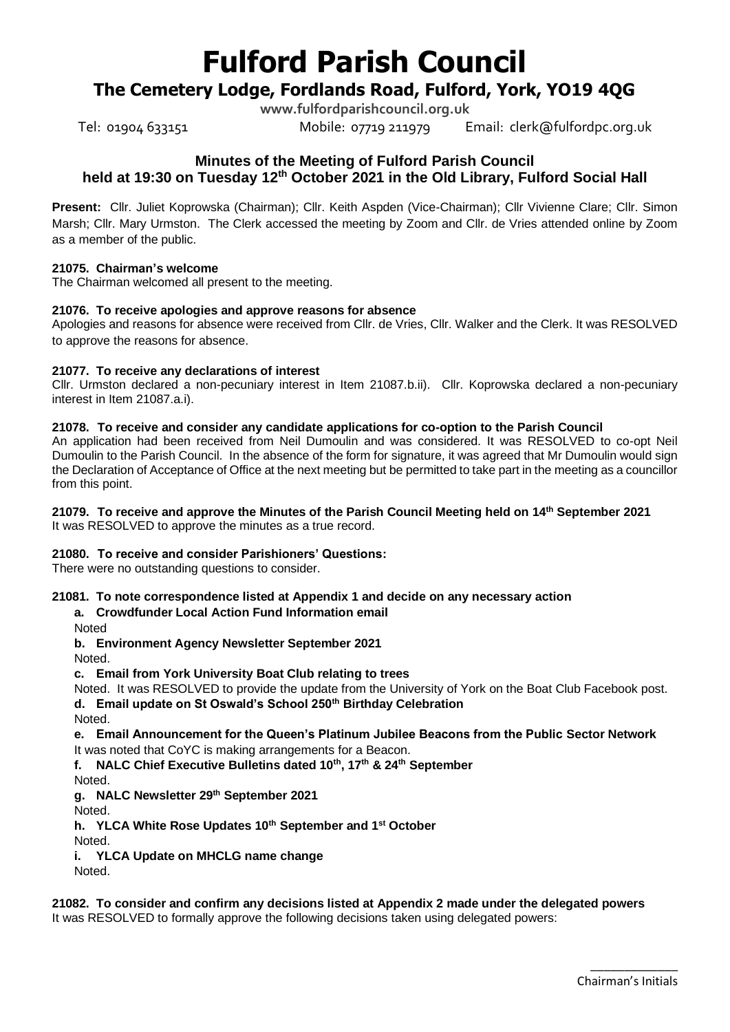# **Fulford Parish Council**

# **The Cemetery Lodge, Fordlands Road, Fulford, York, YO19 4QG**

**www.fulfordparishcouncil.org.uk**

Tel: 01904 633151 Mobile: 07719 211979 Email: clerk@fulfordpc.org.uk

# **Minutes of the Meeting of Fulford Parish Council held at 19:30 on Tuesday 12 th October 2021 in the Old Library, Fulford Social Hall**

**Present:** Cllr. Juliet Koprowska (Chairman); Cllr. Keith Aspden (Vice-Chairman); Cllr Vivienne Clare; Cllr. Simon Marsh; Cllr. Mary Urmston. The Clerk accessed the meeting by Zoom and Cllr. de Vries attended online by Zoom as a member of the public.

## **21075. Chairman's welcome**

The Chairman welcomed all present to the meeting.

## **21076. To receive apologies and approve reasons for absence**

Apologies and reasons for absence were received from Cllr. de Vries, Cllr. Walker and the Clerk. It was RESOLVED to approve the reasons for absence.

## **21077. To receive any declarations of interest**

Cllr. Urmston declared a non-pecuniary interest in Item [21087.b.ii\).](#page-4-0) Cllr. Koprowska declared a non-pecuniary interest in Item [21087.a.i\).](#page-3-0)

## **21078. To receive and consider any candidate applications for co-option to the Parish Council**

An application had been received from Neil Dumoulin and was considered. It was RESOLVED to co-opt Neil Dumoulin to the Parish Council. In the absence of the form for signature, it was agreed that Mr Dumoulin would sign the Declaration of Acceptance of Office at the next meeting but be permitted to take part in the meeting as a councillor from this point.

## **21079. To receive and approve the Minutes of the Parish Council Meeting held on 14th September 2021**

It was RESOLVED to approve the minutes as a true record.

## **21080. To receive and consider Parishioners' Questions:**

There were no outstanding questions to consider.

## **21081. To note correspondence listed at Appendix 1 and decide on any necessary action**

**a. Crowdfunder Local Action Fund Information email**

Noted

**b. Environment Agency Newsletter September 2021**

Noted.

**c. Email from York University Boat Club relating to trees**

Noted. It was RESOLVED to provide the update from the University of York on the Boat Club Facebook post. **d. Email update on St Oswald's School 250th Birthday Celebration**

Noted.

## **e. Email Announcement for the Queen's Platinum Jubilee Beacons from the Public Sector Network** It was noted that CoYC is making arrangements for a Beacon.

**f. NALC Chief Executive Bulletins dated 10th, 17th & 24th September**

Noted.

**g. NALC Newsletter 29th September 2021**

Noted.

**h. YLCA White Rose Updates 10th September and 1st October**

Noted.

**i. YLCA Update on MHCLG name change**

Noted.

# **21082. To consider and confirm any decisions listed at Appendix 2 made under the delegated powers**

It was RESOLVED to formally approve the following decisions taken using delegated powers: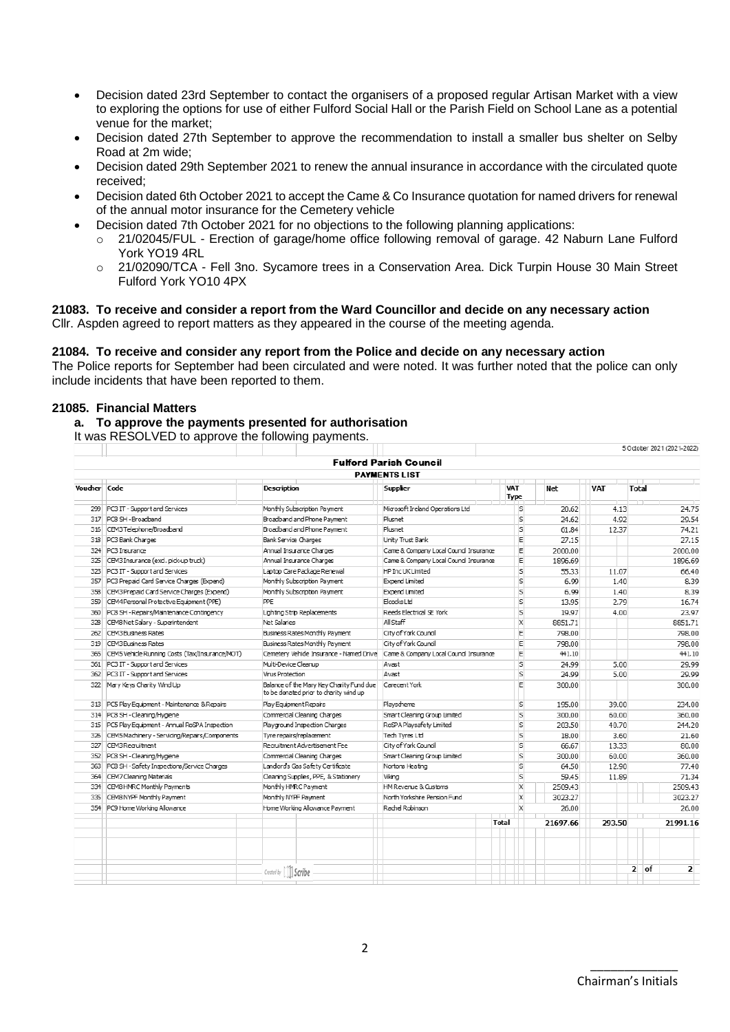- Decision dated 23rd September to contact the organisers of a proposed regular Artisan Market with a view to exploring the options for use of either Fulford Social Hall or the Parish Field on School Lane as a potential venue for the market;
- Decision dated 27th September to approve the recommendation to install a smaller bus shelter on Selby Road at 2m wide;
- Decision dated 29th September 2021 to renew the annual insurance in accordance with the circulated quote received;
- Decision dated 6th October 2021 to accept the Came & Co Insurance quotation for named drivers for renewal of the annual motor insurance for the Cemetery vehicle
- Decision dated 7th October 2021 for no objections to the following planning applications:
	- o 21/02045/FUL Erection of garage/home office following removal of garage. 42 Naburn Lane Fulford York YO19 4RL
	- o 21/02090/TCA Fell 3no. Sycamore trees in a Conservation Area. Dick Turpin House 30 Main Street Fulford York YO10 4PX

#### **21083. To receive and consider a report from the Ward Councillor and decide on any necessary action** Cllr. Aspden agreed to report matters as they appeared in the course of the meeting agenda.

#### **21084. To receive and consider any report from the Police and decide on any necessary action**

The Police reports for September had been circulated and were noted. It was further noted that the police can only include incidents that have been reported to them.

#### **21085. Financial Matters**

## **a. To approve the payments presented for authorisation**

It was RESOLVED to approve the following payments.

|              |                                                |                                                                                    |                                                                                  |                           |          |            |              | 5 October 2021 (2021-2022) |  |
|--------------|------------------------------------------------|------------------------------------------------------------------------------------|----------------------------------------------------------------------------------|---------------------------|----------|------------|--------------|----------------------------|--|
|              |                                                |                                                                                    | <b>Fulford Parish Council</b>                                                    |                           |          |            |              |                            |  |
|              |                                                |                                                                                    | <b>PAYMENTS LIST</b>                                                             |                           |          |            |              |                            |  |
| Voucher Code |                                                | Supplier<br>Description                                                            |                                                                                  | VAT<br>Type               | Net      | <b>VAT</b> | <b>Total</b> |                            |  |
| 299          | PC3 IT - Support and Services                  | Monthly Subscription Payment                                                       | Microsoft Ireland Operations Ltd                                                 | s                         | 20.62    | 4.13       |              | 24.75                      |  |
|              | 317 PC8 SH - Broadband                         | Broadband and Phone Pavment                                                        | Plusnet                                                                          | s                         | 24.62    | 4.92       |              | 29.54                      |  |
|              | 316 CEM3 Telephone/Broadband                   | Broadband and Phone Pavment                                                        | Plusnet                                                                          | s                         | 61.84    |            | 12.37        |                            |  |
|              | 318 PC3 Bank Charges                           | <b>Bank Service Charges</b>                                                        | Unity Trust Bank                                                                 | E                         | 27.15    |            |              | 27.15                      |  |
|              | 324 PC3 Insurance                              | Annual Insurance Charges                                                           | Came & Company Local Council Insurance                                           | E                         | 2000.00  |            |              | 2000.00                    |  |
| 325          | CEM3 Insurance (excl. pick-up truck)           | Annual Insurance Charges                                                           | Came & Company Local Coundi Insurance                                            | Ε                         | 1896.69  |            |              | 1896.69                    |  |
| 323          | PC3 IT - Support and Services                  | Laptop Care Package Renewal                                                        | HP Inc UK Limited                                                                | s                         | 55.33    | 11.07      |              | 66.40                      |  |
| 357          | PC3 Prepaid Card Service Charges (Expend)      | Monthly Subscription Payment                                                       | <b>Expend Limited</b>                                                            | S                         | 6.99     | 1.40       |              | 8.39                       |  |
| 358          | CEM3 Prepaid Card Service Charges (Expend)     | Monthly Subscription Payment                                                       | <b>Expend Limited</b>                                                            | S                         | 6.99     | 1.40       |              | 8.39                       |  |
| 359          | CEM4 Personal Protective Equipment (PPE)       | PPE                                                                                | Elcocks Ltd                                                                      | s                         | 13.95    | 2.79       |              | 16.74                      |  |
| 360          | PC8 SH - Repairs/Maintenance Contingency       | Lighting Strip Replacements                                                        | Reeds Electrical SE York                                                         | s                         | 19.97    | 4.00       |              | 23.97                      |  |
| 328          | CEM8 Net Salary - Superintendent               | Net Salaries                                                                       | All Staff                                                                        | $\mathsf{x}$              | 8851.71  |            |              | 8851.71                    |  |
| 262          | CEM3 Business Rates                            | Business Rates Monthly Payment                                                     | City of York Council                                                             | E                         | 798.00   |            |              | 798.00                     |  |
| 319          | CEM3 Business Rates                            | Business Rates Monthly Payment                                                     | City of York Council                                                             | E                         | 798.00   |            |              | 798.00                     |  |
| 365          | CEM5 Vehicle Running Costs (Tax/Insurance/MOT) |                                                                                    | Cemetery Vehide Insurance - Named Drive   Came & Company Local Council Insurance | E                         | 441.10   |            |              | 441.10                     |  |
|              | 361 PC3 IT - Support and Services              | Multi-Device Cleanup                                                               | Avast                                                                            | s                         | 24.99    | 5.00       |              | 29.99                      |  |
| 362          | PC3 IT - Support and Services                  | Virus Protection                                                                   | Avast                                                                            | s                         | 24.99    | 5.00       |              | 29.99                      |  |
|              | 322 Mary Keys Charity Wind Up                  | Balance of the Mary Key Charity Fund due<br>to be donated prior to charity wind up | Carecent York                                                                    | E                         | 300.00   |            |              | 300.00                     |  |
|              | 313 PC5 Play Equipment - Maintenance & Repairs | Play Equipment Repairs                                                             | Playscheme                                                                       | s                         | 195.00   | 39.00      |              | 234.00                     |  |
|              | 314 PC8 SH - Cleaning/Hygiene                  | Commercial Cleaning Charges                                                        | Smart Cleaning Group Limited                                                     | S                         | 300.00   | 60.00      |              | 360.00                     |  |
| 315          | PC5 Play Equipment - Annual RoSPA Inspection   | Playground Inspection Charges                                                      | RoSPA Playsafety Limited                                                         | s                         | 203.50   | 40.70      |              | 244.20                     |  |
| 326          | CEM5 Machinery - Servicing/Repairs/Components  | Tyre repairs/replacement                                                           | Tech Tyres Ltd                                                                   | s                         | 18.00    | 3.60       |              | 21.60                      |  |
| 327          | CBM3 Requitment                                | Recruitment Advertisement Fee                                                      | City of York Council                                                             |                           | 66.67    | 13.33      |              | 80.00                      |  |
|              | 352 PC8 SH - Cleaning/Hygiene                  | Commercial Cleaning Charges                                                        | Smart Cleaning Group Limited                                                     |                           | 300.00   | 60.00      |              | 360.00                     |  |
| 363          | PC8 SH - Safety Inspections/Service Charges    | Landords Gas Safety Certificate                                                    | Nortons Heating                                                                  |                           | 64.50    | 12.90      |              | 77.40                      |  |
| 364          | CEM7 Cleaning Materials                        | Cleaning Supplies, PPE, & Stationery                                               | Viking                                                                           |                           | 59.45    | 11.89      |              | 71.34                      |  |
| 334          | CEM8 HMRC Monthly Payments                     | Monthly HMRC Payment                                                               | HM Revenue & Customs                                                             | $\boldsymbol{\mathsf{X}}$ | 2509.43  |            |              | 2509.43                    |  |
| 335          | CEM8 NYPF Monthly Payment                      | Monthly NYPF Payment                                                               | North Yorkshire Pension Fund                                                     | $\mathsf{X}$              | 3023.27  |            |              | 3023.27                    |  |
|              | 354 PC9 Home Working Allowance                 | Home Working Allowance Payment                                                     | Rachel Robinson                                                                  | $\mathsf{X}$              | 26.00    |            |              | 26.00                      |  |
|              |                                                |                                                                                    | <b>Total</b>                                                                     |                           | 21697.66 | 293.50     |              | 21991.16                   |  |
|              |                                                |                                                                                    |                                                                                  |                           |          |            |              |                            |  |
|              |                                                |                                                                                    |                                                                                  |                           |          |            |              |                            |  |
|              |                                                | Created by [11] Scribe                                                             |                                                                                  |                           |          |            | 2 of         | $\overline{2}$             |  |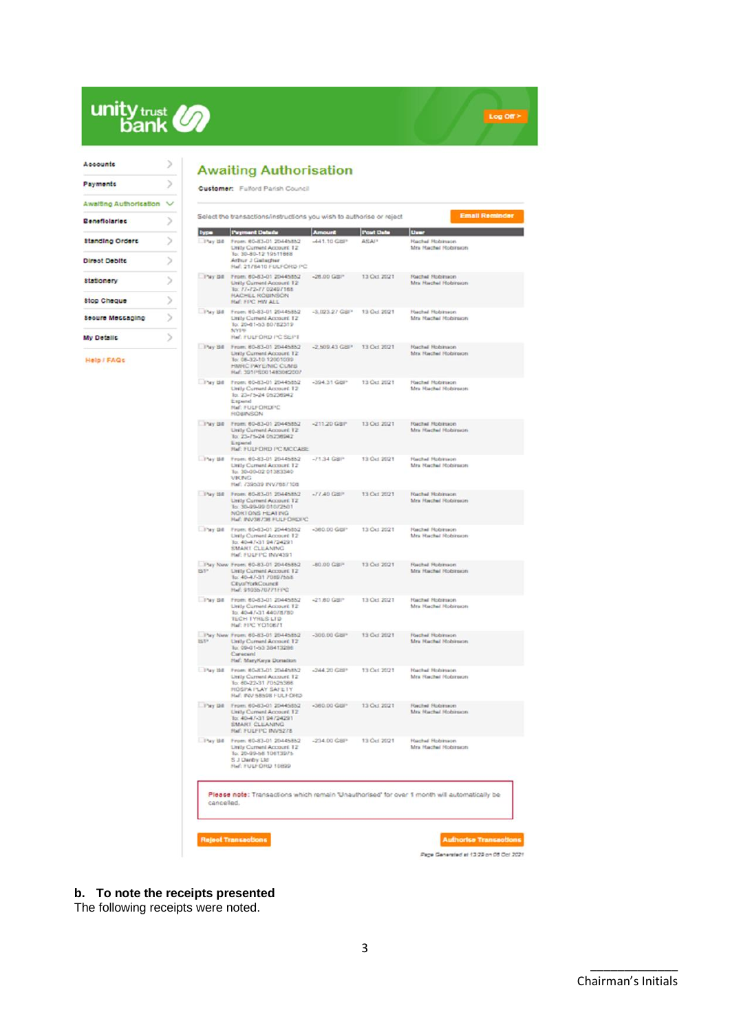

| Accounts                |  |
|-------------------------|--|
| Payments                |  |
| Awaiting Authorisation  |  |
| <b>Beneficiaries</b>    |  |
| <b>Standing Orders</b>  |  |
| <b>Direct Debits</b>    |  |
| <b>Stationery</b>       |  |
| <b>Stop Cheque</b>      |  |
| <b>Seoure Messaging</b> |  |
| My Detaille             |  |
| ₽ΔΩε<br>elo             |  |

# **Awaiting Authorisation**

|                           | Select the transactions/instructions you wish to authorise or reject                                                                       |                          |             | <b>Email Reminder</b>                                                                        |
|---------------------------|--------------------------------------------------------------------------------------------------------------------------------------------|--------------------------|-------------|----------------------------------------------------------------------------------------------|
|                           | <b>Type   Payment Details</b>                                                                                                              |                          | at Date     | lur                                                                                          |
| $1$ <sup>2</sup> ay 130   | From: 80-83-01 20445852<br>Unity Current Account 12<br>lo: 30-80-12 19511668<br>Arthur J Gallagher<br>Had: 2178410 FULFORD PC              | -441.10 GBP              | ASA/*       | <b>Rachel Robinson</b><br>Mrs Hachel Nobirson                                                |
| $-1$ <sup>3</sup> ky 250  | From: 80-83-01 20445852<br>Unity Current Account 12<br>lo: 77-72-77 02497165<br><b><i>HACHEL ROBINSON</i></b><br>Hall: FPC HW ALL          | -28.00 GBP               | 13 Oct 2021 | <b>Flached Hobinson</b><br>Mrs Hachel Hobiroon                                               |
| - Pay Bit                 | From: 80-83-01 20445852<br>Unity Current Account 12<br>lo: 20-61-53 80782319<br>NYI T<br><b>Ref: FULFORD I'C SEPT</b>                      | -3.023.27 GBP            | 13 Oct 2021 | <b>Rachel Robinson</b><br>Mrs Hachel Hobinson                                                |
| Fay Bill                  | From: 60-83-01.20445852<br>Unity Current Account 12<br>lo: 05-32-10 12001039<br>HIVRC PAYE/NIC CUMB<br>Hwl. 3911'S001483062007             | -2,509.43 GBP            | 13 Oct 2021 | <b>Rachel Robinson</b><br>Mrs Rachel Robinson                                                |
| They Bill                 | From: 80-83-01 20445852<br><b>Unity Current Account 12</b><br>lo: 23-75-24 05238942<br>Espend<br><b>Ref: FULFORDING</b><br><b>ROBINSON</b> | -394.31 GBI*             | 13 Oct 2021 | <b>Rechal Robinson</b><br>Mrs Hachel Hobiroon                                                |
| They Bill                 | From: 80-83-01 20445852<br>Unity Current Account 12<br>lo: 23-75-24 05238942<br>Expand<br>RM: FULFORD PC MCCABE                            | $-211.20 \text{ GHz}$    | 13 Oct 2021 | Rachel Robinson<br>Mra Hachel Hobirson                                                       |
| $1.1$ <sup>2</sup> ky 150 | Fruen: 80-83-01 20445852<br>Unity Current Account 12<br>lo: 30-00-02 01383340<br>VIKING<br>Ref: 739539 INV7887108                          | $-71.34$ GBP             | 13 Oct 2021 | <b>Rachel Robinaces</b><br>Mrs Hachel Hobirsezei                                             |
| They Bill                 | From: 80-83-01 20445852<br>Unity Current Account, 12<br>To: 30-99-99 010/2501<br>NORTONS HEATING<br>Hall: INV38738 FULFORDIYO              | $-77,40$ GBP             | 13 Oct 2021 | <b>Rachel Robinson</b><br>Mrs Hachel Hobiroon                                                |
| D'ay Bit                  | From: 80-83-01 20445852<br>Unity Current Account 12<br>for 40-47-31 94724291<br><b>SMART CLEANING</b><br>Ref: FULFIPC INV4391              | -380.00 GBI <sup>+</sup> | 13 Oct 2021 | <b>Rachal Robinson</b><br>Mrs Harchel Nobiroson                                              |
| <b>BP</b>                 | Pay New From: 60-83-01 20445852<br>Unity Current Account 12<br>lo: 40-47-31 7089/165<br>Citya/YorkCouncil<br>Hwl: 9103570771FFC            | -80.00 GBP               | 13 Oct 2021 | <b>Rachel Robinson</b><br>Mrs Hachel Hobirson                                                |
| <b>D'wy Bit</b>           | From: 80-83-01 20445852<br>Linity Current Account 12<br>lo: 40-47-31 44078780<br><b>TECH IYALS LID</b><br>Rad: FIRC YOT0871                | $-21.80$ GBP             | 13 Oct 2021 | Hachel Hobitson<br>Mrs Hachel Hobiroon                                                       |
| BIF                       | Pay New From: 80-83-01 20445852<br>Unity Current Account 12<br>To: 09-01-53 38413286<br>Carecent<br>Haf: MaryKeya Donation                 | $-300.00 \text{ GeV}$    | 13 Oct 2021 | <b>Rachel Robinson</b><br>Mra Hachel Hobirson                                                |
| $1$ <sup>2</sup> ay 110   | From: 80-83-01 20445852<br>Unity Current Account 12<br>To: 60-22-31 /0525366<br>ROSPA PLAY SAFETY<br>Hall: INV 58598 FULFORD               | -244.20 GBP              | 13 Oct 2021 | <b>Rechel Robinson</b><br>Mrs Rachel Hobinson                                                |
| Pay Bit                   | From: 60-83-01 20445852<br>Uraty Current Account, 12<br>lo: 40-47-31 94724291<br><b>SMART CLEANING</b><br>FULFIPC INVS278                  | -380.00 GHP              | 13 Oct 2021 | <b>Rachel Robinson</b><br>Mrs Hachel Hobirson                                                |
|                           | They Bill Fram: 60-83-01 20445852<br>Unity Current Account 12<br>for 20-99-56 10613975<br>S J Dardry Ltd<br>Ref: FULFORD 10899             | $-234.00$ GBP            | 13 Oct 2021 | <b>Rachel Hobinson</b><br>Mrs Hachel Hobizson                                                |
|                           | canceled.                                                                                                                                  |                          |             | Please note: Transactions which remain 'Unauthorised' for over 1 month will automatically be |

Log Off >

**b. To note the receipts presented**

The following receipts were noted.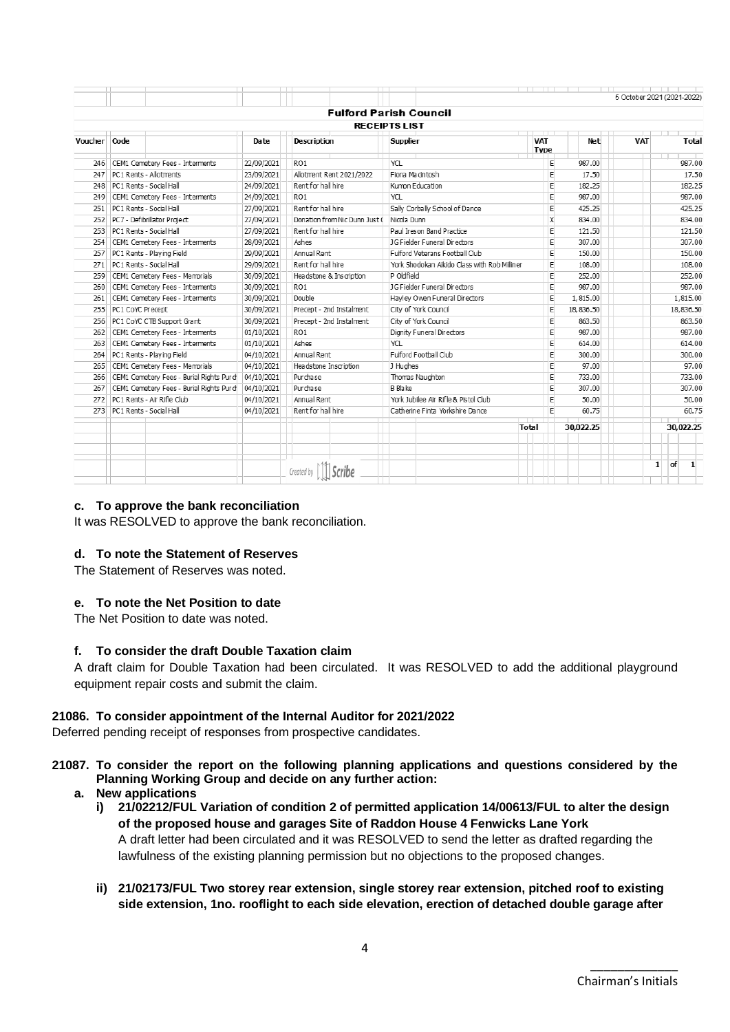|              |                  |                                         |            |                               |                                              |              |                           |           | 5 October 2021 (2021-2022) |        |                           |  |
|--------------|------------------|-----------------------------------------|------------|-------------------------------|----------------------------------------------|--------------|---------------------------|-----------|----------------------------|--------|---------------------------|--|
|              |                  |                                         |            |                               | <b>Fulford Parish Council</b>                |              |                           |           |                            |        |                           |  |
|              |                  |                                         |            |                               | <b>RECEIPTS LIST</b>                         |              |                           |           |                            |        |                           |  |
| Voucher Code |                  |                                         | Date       | <b>Description</b>            | <b>Supplier</b>                              |              | <b>VAT</b><br><b>Type</b> | Net       | <b>VAT</b>                 |        | Total                     |  |
|              |                  | 246 CEM1 Cemetery Fees - Interments     | 22/09/2021 | RO <sub>1</sub>               | <b>YCL</b>                                   |              | Е                         | 987.00    |                            |        | 987.00                    |  |
| 247          |                  | PC1 Rents - Allotments                  | 23/09/2021 | Allotment Rent 2021/2022      | Fiona Macintosh                              |              |                           | 17.50     |                            |        | 17.50                     |  |
| 248          |                  | PC1 Rents - Social Hall                 | 24/09/2021 | Rent for hall hire            | Kumon Education                              |              |                           | 182.25    |                            |        | 182.25                    |  |
| 249          |                  | CEM1 Cemetery Fees - Interments         | 24/09/2021 | RO <sub>1</sub>               | <b>YCL</b>                                   |              | E                         | 987.00    |                            |        | 987.00                    |  |
| 251          |                  | PC1 Rents - Social Hall                 | 27/09/2021 | Rent for hall hire            | Sally Corbally School of Dance               |              | E                         | 425.25    |                            | 425.25 |                           |  |
| 252          |                  | PC7 - Defibrillator Project             | 27/09/2021 | Donation from Nic Dunn Just ( | Nicola Dunn                                  |              | X                         | 834.00    |                            | 834.00 |                           |  |
| 253          |                  | PC1 Rents - Social Hall                 | 27/09/2021 | Rent for hall hire            | Paul Ireson Band Practice                    |              | E                         | 121.50    |                            | 121.50 |                           |  |
| 254          |                  | CEM1 Cemetery Fees - Interments         | 28/09/2021 | Ashes                         | 1G Fielder Funeral Directors                 |              | E                         | 307.00    |                            | 307.00 |                           |  |
| 257          |                  | PC1 Rents - Plaving Field               | 29/09/2021 | Annual Rent                   | Fulford Veterans Football Club               |              | E                         | 150.00    |                            |        | 150.00                    |  |
| 271          |                  | PC1 Rents - Social Hall                 | 29/09/2021 | Rent for hall hire            | York Shodokan Aikido Class with Rob Milliner |              | E                         | 108.00    |                            |        | 108.00                    |  |
| 259          |                  | CEM1 Cemetery Fees - Memorials          | 30/09/2021 | Headstone & Inscription       | P Oldfield                                   |              | E                         | 252.00    |                            |        | 252.00                    |  |
| 260          |                  | CEM1 Cemetery Fees - Interments         | 30/09/2021 | RO <sub>1</sub>               | <b>JG Fielder Funeral Directors</b>          |              | E                         | 987.00    |                            |        | 987.00                    |  |
| 261          |                  | CEM1 Cemetery Fees - Interments         | 30/09/2021 | Double                        | Havley Owen Funeral Directors                |              | E                         | 1,815.00  |                            |        | 1,815.00                  |  |
| 255          | PC1 CoYC Precept |                                         | 30/09/2021 | Precept - 2nd Instalment      | City of York Council                         |              | E                         | 18,836.50 |                            |        | 18,836.50                 |  |
| 256          |                  | PC1 CoYC CTB Support Grant              | 30/09/2021 | Precept - 2nd Instalment      | City of York Council                         |              | E                         | 863.50    |                            |        | 863.50                    |  |
| 262          |                  | CEM1 Cemetery Fees - Interments         | 01/10/2021 | RO <sub>1</sub>               | Dignity Funeral Directors                    |              | E                         | 987.00    |                            |        | 987.00                    |  |
| 263          |                  | CEM1 Cemetery Fees - Interments         | 01/10/2021 | Ashes                         | <b>YCL</b>                                   |              | E                         | 614.00    |                            |        | 614.00                    |  |
| 264          |                  | PC1 Rents - Plaving Field               | 04/10/2021 | Annual Rent                   | Fulford Football Club                        |              | E                         | 300.00    |                            |        | 300.00                    |  |
| 265          |                  | CEM1 Cemetery Fees - Memorials          | 04/10/2021 | Headstone Inscription         | J Hughes                                     |              | E                         | 97.00     |                            |        | 97.00                     |  |
| 266          |                  | CEM1 Cemetery Fees - Burial Rights Purd | 04/10/2021 | Purchase                      | Thomas Naughton                              |              | E                         | 733.00    |                            |        | 733.00                    |  |
| 267          |                  | CEM1 Cemetery Fees - Burial Rights Purd | 04/10/2021 | Purchase                      | B Blake                                      |              | E                         | 307.00    |                            |        | 307.00                    |  |
|              |                  | 272 PC1 Rents - Air Rifle Club          | 04/10/2021 | Annual Rent                   | York Jubilee Air Rifle & Pistol Club         |              | E                         | 50.00     |                            |        | 50.00                     |  |
|              |                  | 273 PC1 Rents - Social Hall             | 04/10/2021 | Rent for hall hire            | Catherine Finta Yorkshire Dance              |              | E                         | 60.75     |                            |        | 60.75                     |  |
|              |                  |                                         |            |                               |                                              | <b>Total</b> |                           | 30.022.25 |                            |        | 30.022.25                 |  |
|              |                  |                                         |            |                               |                                              |              |                           |           |                            |        |                           |  |
|              |                  |                                         |            |                               |                                              |              |                           |           |                            | 1      | <b>of</b><br>$\mathbf{1}$ |  |

## **c. To approve the bank reconciliation**

It was RESOLVED to approve the bank reconciliation.

## **d. To note the Statement of Reserves**

The Statement of Reserves was noted.

## **e. To note the Net Position to date**

The Net Position to date was noted.

## **f. To consider the draft Double Taxation claim**

A draft claim for Double Taxation had been circulated. It was RESOLVED to add the additional playground equipment repair costs and submit the claim.

## **21086. To consider appointment of the Internal Auditor for 2021/2022**

Deferred pending receipt of responses from prospective candidates.

## **21087. To consider the report on the following planning applications and questions considered by the Planning Working Group and decide on any further action:**

- <span id="page-3-0"></span>**a. New applications**
	- **i) 21/02212/FUL Variation of condition 2 of permitted application 14/00613/FUL to alter the design of the proposed house and garages Site of Raddon House 4 Fenwicks Lane York** A draft letter had been circulated and it was RESOLVED to send the letter as drafted regarding the lawfulness of the existing planning permission but no objections to the proposed changes.
	- **ii) 21/02173/FUL Two storey rear extension, single storey rear extension, pitched roof to existing side extension, 1no. rooflight to each side elevation, erection of detached double garage after**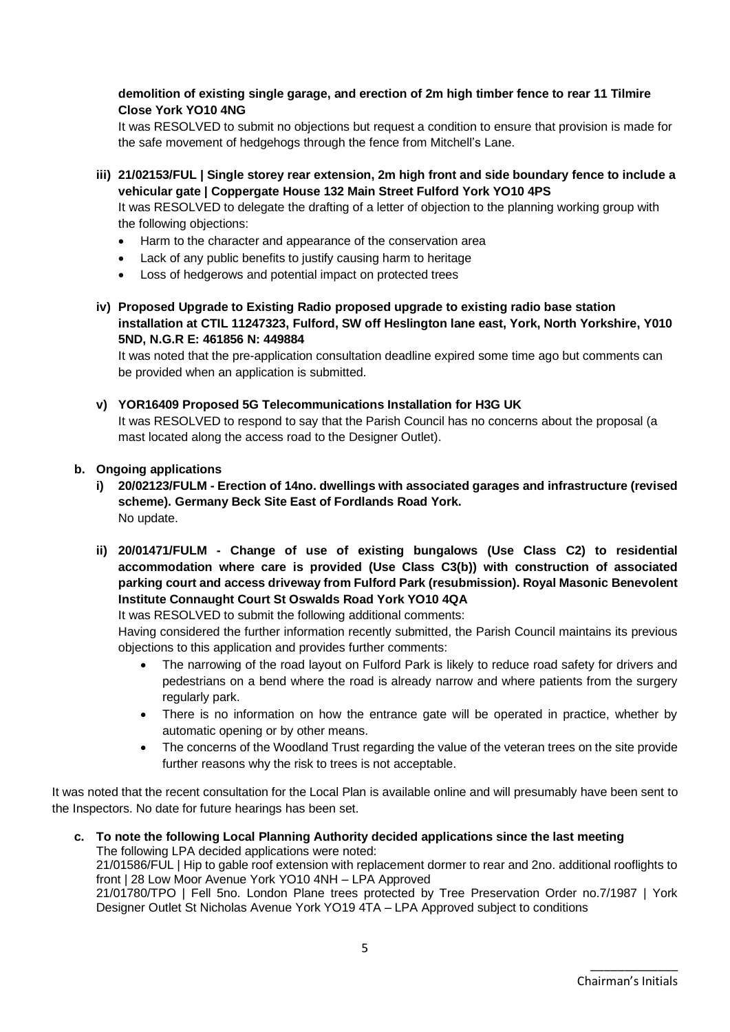## **demolition of existing single garage, and erection of 2m high timber fence to rear 11 Tilmire Close York YO10 4NG**

It was RESOLVED to submit no objections but request a condition to ensure that provision is made for the safe movement of hedgehogs through the fence from Mitchell's Lane.

- **iii) 21/02153/FUL | Single storey rear extension, 2m high front and side boundary fence to include a vehicular gate | Coppergate House 132 Main Street Fulford York YO10 4PS** It was RESOLVED to delegate the drafting of a letter of objection to the planning working group with the following objections:
	- Harm to the character and appearance of the conservation area
	- Lack of any public benefits to justify causing harm to heritage
	- Loss of hedgerows and potential impact on protected trees
- **iv) Proposed Upgrade to Existing Radio proposed upgrade to existing radio base station installation at CTIL 11247323, Fulford, SW off Heslington lane east, York, North Yorkshire, Y010 5ND, N.G.R E: 461856 N: 449884**

It was noted that the pre-application consultation deadline expired some time ago but comments can be provided when an application is submitted.

**v) YOR16409 Proposed 5G Telecommunications Installation for H3G UK**

It was RESOLVED to respond to say that the Parish Council has no concerns about the proposal (a mast located along the access road to the Designer Outlet).

#### **b. Ongoing applications**

- **i) 20/02123/FULM - Erection of 14no. dwellings with associated garages and infrastructure (revised scheme). Germany Beck Site East of Fordlands Road York.**  No update.
- <span id="page-4-0"></span>**ii) 20/01471/FULM - Change of use of existing bungalows (Use Class C2) to residential accommodation where care is provided (Use Class C3(b)) with construction of associated parking court and access driveway from Fulford Park (resubmission). Royal Masonic Benevolent Institute Connaught Court St Oswalds Road York YO10 4QA**

It was RESOLVED to submit the following additional comments:

Having considered the further information recently submitted, the Parish Council maintains its previous objections to this application and provides further comments:

- The narrowing of the road layout on Fulford Park is likely to reduce road safety for drivers and pedestrians on a bend where the road is already narrow and where patients from the surgery regularly park.
- There is no information on how the entrance gate will be operated in practice, whether by automatic opening or by other means.
- The concerns of the Woodland Trust regarding the value of the veteran trees on the site provide further reasons why the risk to trees is not acceptable.

It was noted that the recent consultation for the Local Plan is available online and will presumably have been sent to the Inspectors. No date for future hearings has been set.

**c. To note the following Local Planning Authority decided applications since the last meeting** The following LPA decided applications were noted: 21/01586/FUL | Hip to gable roof extension with replacement dormer to rear and 2no. additional rooflights to front | 28 Low Moor Avenue York YO10 4NH – LPA Approved 21/01780/TPO | Fell 5no. London Plane trees protected by Tree Preservation Order no.7/1987 | York Designer Outlet St Nicholas Avenue York YO19 4TA – LPA Approved subject to conditions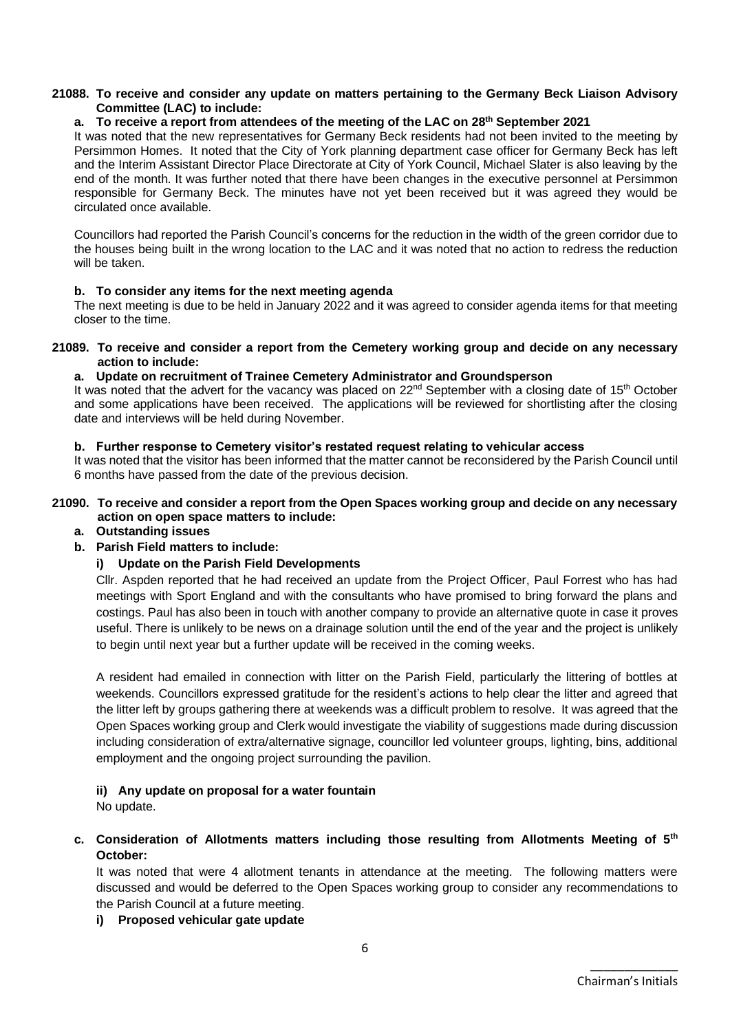#### **21088. To receive and consider any update on matters pertaining to the Germany Beck Liaison Advisory Committee (LAC) to include:**

### **a. To receive a report from attendees of the meeting of the LAC on 28th September 2021**

It was noted that the new representatives for Germany Beck residents had not been invited to the meeting by Persimmon Homes. It noted that the City of York planning department case officer for Germany Beck has left and the Interim Assistant Director Place Directorate at City of York Council, Michael Slater is also leaving by the end of the month. It was further noted that there have been changes in the executive personnel at Persimmon responsible for Germany Beck. The minutes have not yet been received but it was agreed they would be circulated once available.

Councillors had reported the Parish Council's concerns for the reduction in the width of the green corridor due to the houses being built in the wrong location to the LAC and it was noted that no action to redress the reduction will be taken.

#### **b. To consider any items for the next meeting agenda**

The next meeting is due to be held in January 2022 and it was agreed to consider agenda items for that meeting closer to the time.

#### **21089. To receive and consider a report from the Cemetery working group and decide on any necessary action to include:**

#### **a. Update on recruitment of Trainee Cemetery Administrator and Groundsperson**

It was noted that the advert for the vacancy was placed on 22<sup>nd</sup> September with a closing date of 15<sup>th</sup> October and some applications have been received. The applications will be reviewed for shortlisting after the closing date and interviews will be held during November.

#### **b. Further response to Cemetery visitor's restated request relating to vehicular access**

It was noted that the visitor has been informed that the matter cannot be reconsidered by the Parish Council until 6 months have passed from the date of the previous decision.

#### **21090. To receive and consider a report from the Open Spaces working group and decide on any necessary action on open space matters to include:**

**a. Outstanding issues**

## **b. Parish Field matters to include:**

## **i) Update on the Parish Field Developments**

Cllr. Aspden reported that he had received an update from the Project Officer, Paul Forrest who has had meetings with Sport England and with the consultants who have promised to bring forward the plans and costings. Paul has also been in touch with another company to provide an alternative quote in case it proves useful. There is unlikely to be news on a drainage solution until the end of the year and the project is unlikely to begin until next year but a further update will be received in the coming weeks.

A resident had emailed in connection with litter on the Parish Field, particularly the littering of bottles at weekends. Councillors expressed gratitude for the resident's actions to help clear the litter and agreed that the litter left by groups gathering there at weekends was a difficult problem to resolve. It was agreed that the Open Spaces working group and Clerk would investigate the viability of suggestions made during discussion including consideration of extra/alternative signage, councillor led volunteer groups, lighting, bins, additional employment and the ongoing project surrounding the pavilion.

## **ii) Any update on proposal for a water fountain**

No update.

## **c. Consideration of Allotments matters including those resulting from Allotments Meeting of 5th October:**

It was noted that were 4 allotment tenants in attendance at the meeting. The following matters were discussed and would be deferred to the Open Spaces working group to consider any recommendations to the Parish Council at a future meeting.

## **i) Proposed vehicular gate update**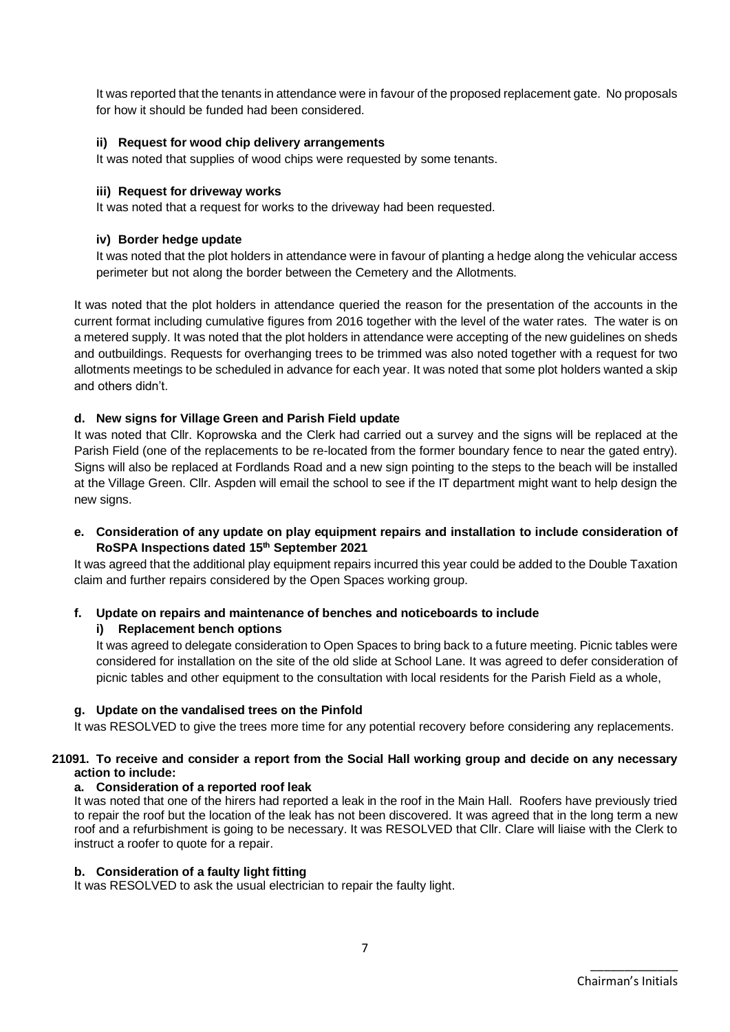It was reported that the tenants in attendance were in favour of the proposed replacement gate. No proposals for how it should be funded had been considered.

## **ii) Request for wood chip delivery arrangements**

It was noted that supplies of wood chips were requested by some tenants.

#### **iii) Request for driveway works**

It was noted that a request for works to the driveway had been requested.

## **iv) Border hedge update**

It was noted that the plot holders in attendance were in favour of planting a hedge along the vehicular access perimeter but not along the border between the Cemetery and the Allotments.

It was noted that the plot holders in attendance queried the reason for the presentation of the accounts in the current format including cumulative figures from 2016 together with the level of the water rates. The water is on a metered supply. It was noted that the plot holders in attendance were accepting of the new guidelines on sheds and outbuildings. Requests for overhanging trees to be trimmed was also noted together with a request for two allotments meetings to be scheduled in advance for each year. It was noted that some plot holders wanted a skip and others didn't.

## **d. New signs for Village Green and Parish Field update**

It was noted that Cllr. Koprowska and the Clerk had carried out a survey and the signs will be replaced at the Parish Field (one of the replacements to be re-located from the former boundary fence to near the gated entry). Signs will also be replaced at Fordlands Road and a new sign pointing to the steps to the beach will be installed at the Village Green. Cllr. Aspden will email the school to see if the IT department might want to help design the new signs.

**e. Consideration of any update on play equipment repairs and installation to include consideration of RoSPA Inspections dated 15th September 2021**

It was agreed that the additional play equipment repairs incurred this year could be added to the Double Taxation claim and further repairs considered by the Open Spaces working group.

## **f. Update on repairs and maintenance of benches and noticeboards to include**

## **i) Replacement bench options**

It was agreed to delegate consideration to Open Spaces to bring back to a future meeting. Picnic tables were considered for installation on the site of the old slide at School Lane. It was agreed to defer consideration of picnic tables and other equipment to the consultation with local residents for the Parish Field as a whole,

#### **g. Update on the vandalised trees on the Pinfold**

It was RESOLVED to give the trees more time for any potential recovery before considering any replacements.

#### **21091. To receive and consider a report from the Social Hall working group and decide on any necessary action to include:**

#### **a. Consideration of a reported roof leak**

It was noted that one of the hirers had reported a leak in the roof in the Main Hall. Roofers have previously tried to repair the roof but the location of the leak has not been discovered. It was agreed that in the long term a new roof and a refurbishment is going to be necessary. It was RESOLVED that Cllr. Clare will liaise with the Clerk to instruct a roofer to quote for a repair.

#### **b. Consideration of a faulty light fitting**

It was RESOLVED to ask the usual electrician to repair the faulty light.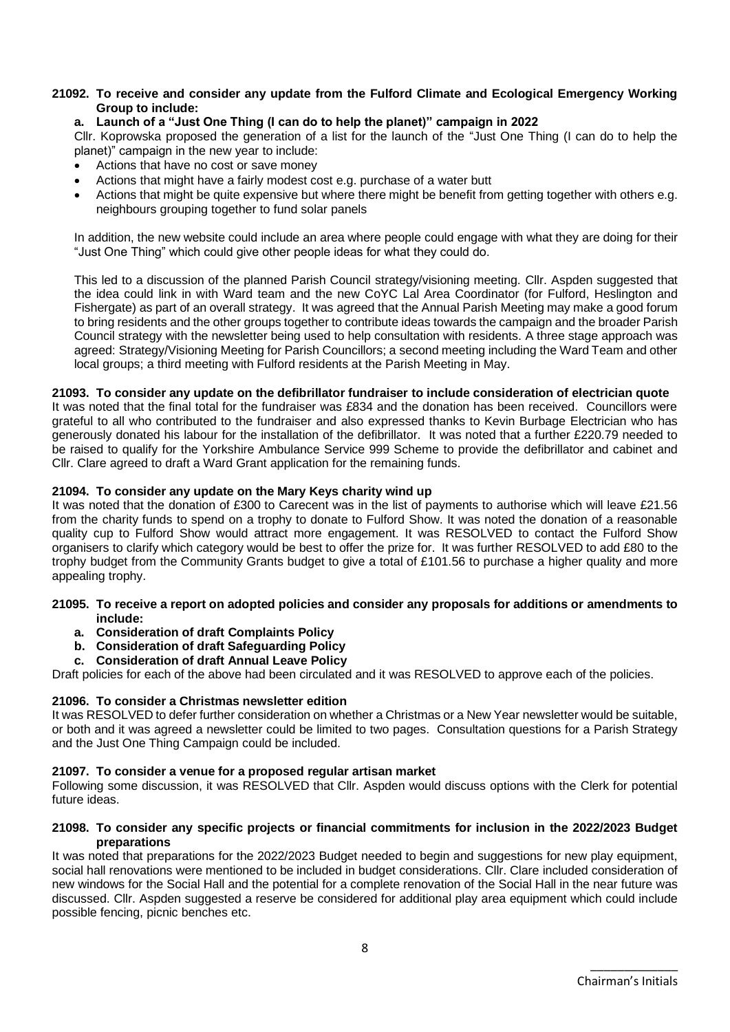#### **21092. To receive and consider any update from the Fulford Climate and Ecological Emergency Working Group to include:**

#### **a. Launch of a "Just One Thing (I can do to help the planet)" campaign in 2022**

Cllr. Koprowska proposed the generation of a list for the launch of the "Just One Thing (I can do to help the planet)" campaign in the new year to include:

- Actions that have no cost or save money
- Actions that might have a fairly modest cost e.g. purchase of a water butt
- Actions that might be quite expensive but where there might be benefit from getting together with others e.g. neighbours grouping together to fund solar panels

In addition, the new website could include an area where people could engage with what they are doing for their "Just One Thing" which could give other people ideas for what they could do.

This led to a discussion of the planned Parish Council strategy/visioning meeting. Cllr. Aspden suggested that the idea could link in with Ward team and the new CoYC Lal Area Coordinator (for Fulford, Heslington and Fishergate) as part of an overall strategy. It was agreed that the Annual Parish Meeting may make a good forum to bring residents and the other groups together to contribute ideas towards the campaign and the broader Parish Council strategy with the newsletter being used to help consultation with residents. A three stage approach was agreed: Strategy/Visioning Meeting for Parish Councillors; a second meeting including the Ward Team and other local groups; a third meeting with Fulford residents at the Parish Meeting in May.

#### **21093. To consider any update on the defibrillator fundraiser to include consideration of electrician quote**

It was noted that the final total for the fundraiser was £834 and the donation has been received. Councillors were grateful to all who contributed to the fundraiser and also expressed thanks to Kevin Burbage Electrician who has generously donated his labour for the installation of the defibrillator. It was noted that a further £220.79 needed to be raised to qualify for the Yorkshire Ambulance Service 999 Scheme to provide the defibrillator and cabinet and Cllr. Clare agreed to draft a Ward Grant application for the remaining funds.

#### **21094. To consider any update on the Mary Keys charity wind up**

It was noted that the donation of £300 to Carecent was in the list of payments to authorise which will leave £21.56 from the charity funds to spend on a trophy to donate to Fulford Show. It was noted the donation of a reasonable quality cup to Fulford Show would attract more engagement. It was RESOLVED to contact the Fulford Show organisers to clarify which category would be best to offer the prize for. It was further RESOLVED to add £80 to the trophy budget from the Community Grants budget to give a total of £101.56 to purchase a higher quality and more appealing trophy.

#### **21095. To receive a report on adopted policies and consider any proposals for additions or amendments to include:**

- **a. Consideration of draft Complaints Policy**
- **b. Consideration of draft Safeguarding Policy**
- **c. Consideration of draft Annual Leave Policy**

Draft policies for each of the above had been circulated and it was RESOLVED to approve each of the policies.

#### **21096. To consider a Christmas newsletter edition**

It was RESOLVED to defer further consideration on whether a Christmas or a New Year newsletter would be suitable, or both and it was agreed a newsletter could be limited to two pages. Consultation questions for a Parish Strategy and the Just One Thing Campaign could be included.

#### **21097. To consider a venue for a proposed regular artisan market**

Following some discussion, it was RESOLVED that Cllr. Aspden would discuss options with the Clerk for potential future ideas.

#### **21098. To consider any specific projects or financial commitments for inclusion in the 2022/2023 Budget preparations**

It was noted that preparations for the 2022/2023 Budget needed to begin and suggestions for new play equipment, social hall renovations were mentioned to be included in budget considerations. Cllr. Clare included consideration of new windows for the Social Hall and the potential for a complete renovation of the Social Hall in the near future was discussed. Cllr. Aspden suggested a reserve be considered for additional play area equipment which could include possible fencing, picnic benches etc.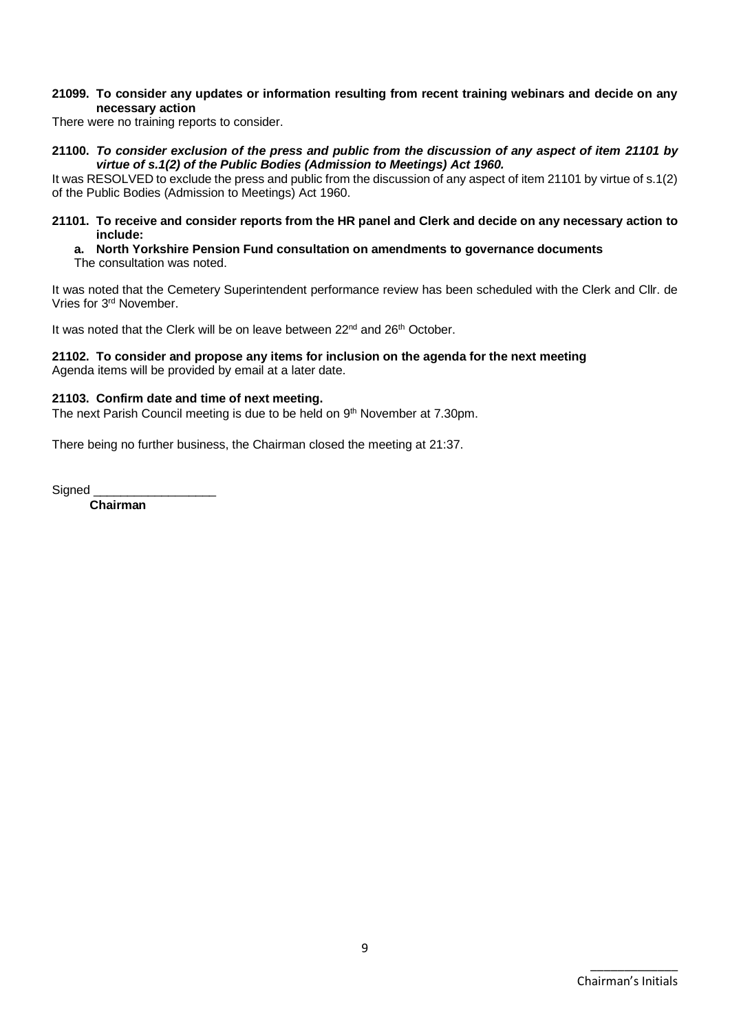#### **21099. To consider any updates or information resulting from recent training webinars and decide on any necessary action**

There were no training reports to consider.

**21100.** *To consider exclusion of the press and public from the discussion of any aspect of item [21101](#page-8-0) by virtue of s.1(2) of the Public Bodies (Admission to Meetings) Act 1960.*

It was RESOLVED to exclude the press and public from the discussion of any aspect of item 21101 by virtue of s.1(2) of the Public Bodies (Admission to Meetings) Act 1960.

- <span id="page-8-0"></span>**21101. To receive and consider reports from the HR panel and Clerk and decide on any necessary action to include:**
	- **a. North Yorkshire Pension Fund consultation on amendments to governance documents** The consultation was noted.

It was noted that the Cemetery Superintendent performance review has been scheduled with the Clerk and Cllr. de Vries for 3rd November.

It was noted that the Clerk will be on leave between 22<sup>nd</sup> and 26<sup>th</sup> October.

#### **21102. To consider and propose any items for inclusion on the agenda for the next meeting** Agenda items will be provided by email at a later date.

#### **21103. Confirm date and time of next meeting.**

The next Parish Council meeting is due to be held on 9<sup>th</sup> November at 7.30pm.

There being no further business, the Chairman closed the meeting at 21:37.

Signed

**Chairman**